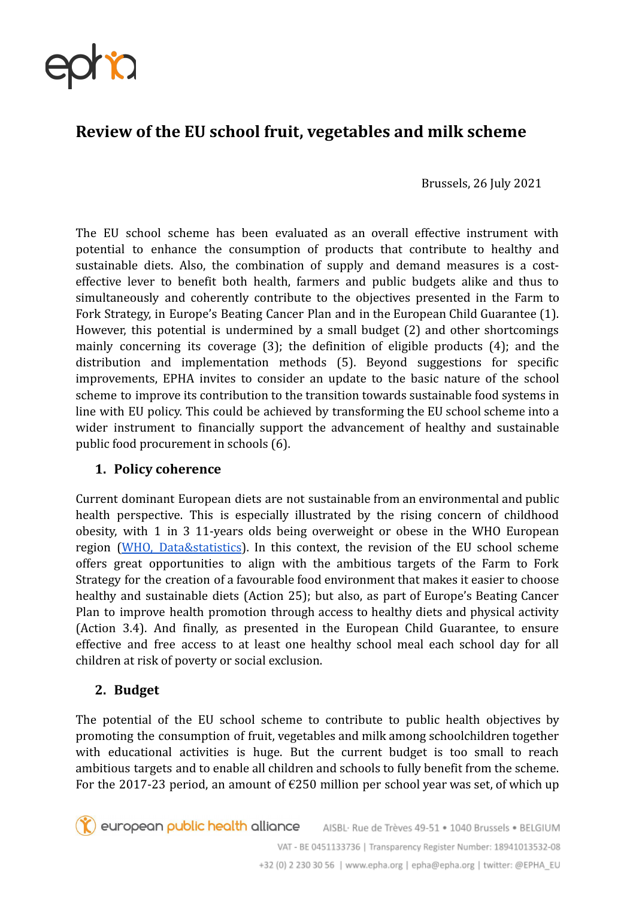

# **Review of the EU school fruit, vegetables and milk scheme**

Brussels, 26 July 2021

The EU school scheme has been evaluated as an overall effective instrument with potential to enhance the consumption of products that contribute to healthy and sustainable diets. Also, the combination of supply and demand measures is a costeffective lever to benefit both health, farmers and public budgets alike and thus to simultaneously and coherently contribute to the objectives presented in the Farm to Fork Strategy, in Europe's Beating Cancer Plan and in the European Child Guarantee (1). However, this potential is undermined by a small budget (2) and other shortcomings mainly concerning its coverage (3); the definition of eligible products (4); and the distribution and implementation methods (5). Beyond suggestions for specific improvements, EPHA invites to consider an update to the basic nature of the school scheme to improve its contribution to the transition towards sustainable food systems in line with EU policy. This could be achieved by transforming the EU school scheme into a wider instrument to financially support the advancement of healthy and sustainable public food procurement in schools (6).

### **1. Policy coherence**

Current dominant European diets are not sustainable from an environmental and public health perspective. This is especially illustrated by the rising concern of childhood obesity, with 1 in 3 11-years olds being overweight or obese in the WHO European region (WHO, [Data&statistics](https://www.euro.who.int/en/health-topics/noncommunicable-diseases/obesity/data-and-statistics)). In this context, the revision of the EU school scheme offers great opportunities to align with the ambitious targets of the Farm to Fork Strategy for the creation of a favourable food environment that makes it easier to choose healthy and sustainable diets (Action 25); but also, as part of Europe's Beating Cancer Plan to improve health promotion through access to healthy diets and physical activity (Action 3.4). And finally, as presented in the European Child Guarantee, to ensure effective and free access to at least one healthy school meal each school day for all children at risk of poverty or social exclusion.

## **2. Budget**

The potential of the EU school scheme to contribute to public health objectives by promoting the consumption of fruit, vegetables and milk among schoolchildren together with educational activities is huge. But the current budget is too small to reach ambitious targets and to enable all children and schools to fully benefit from the scheme. For the 2017-23 period, an amount of  $E$ 250 million per school year was set, of which up

european public health alliance AISBL· Rue de Trèves 49-51 · 1040 Brussels · BELGIUM VAT - BE 0451133736 | Transparency Register Number: 18941013532-08 +32 (0) 2 230 30 56 | www.epha.org | epha@epha.org | twitter: @EPHA\_EU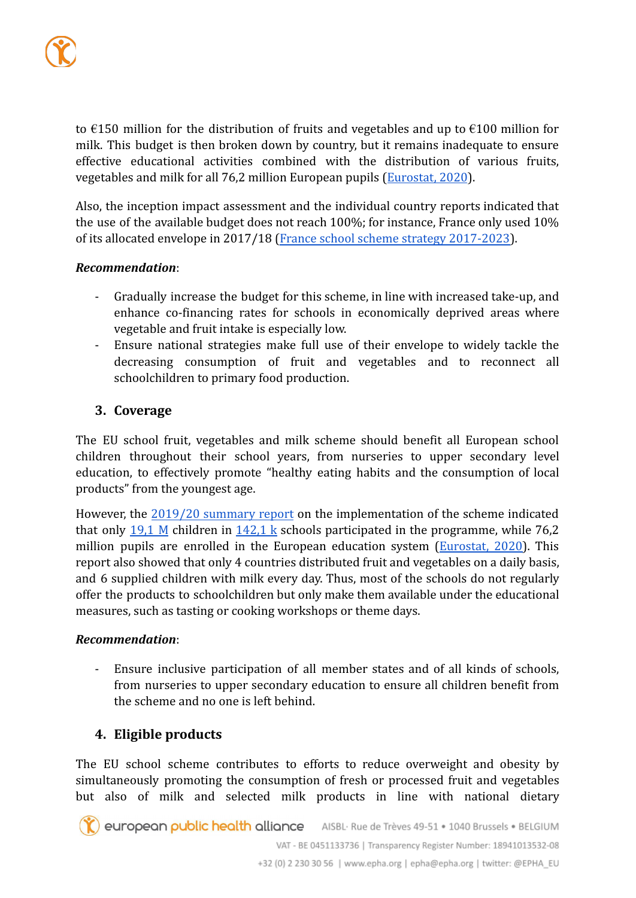to  $\epsilon$ 150 million for the distribution of fruits and vegetables and up to  $\epsilon$ 100 million for milk. This budget is then broken down by country, but it remains inadequate to ensure effective educational activities combined with the distribution of various fruits, vegetables and milk for all 76,2 million European pupils ([Eurostat, 2020](https://ec.europa.eu/eurostat/web/products-eurostat-news/-/ddn-20200604-1#:~:text=Altogether%2C%20there%20were%20around%2076.2,was%20closer%20to%2076.1%20million)).

Also, the inception impact assessment and the individual country reports indicated that the use of the available budget does not reach 100%; for instance, France only used 10% of its allocated envelope in 2017/18 (France school [scheme strategy 2017-2023\)](https://ec.europa.eu/info/sites/default/files/food-farming-fisheries/key_policies/documents/fr-school-scheme-strategy-2017-23_fr.pdf).

#### *Recommendation*:

- Gradually increase the budget for this scheme, in line with increased take-up, and enhance co-financing rates for schools in economically deprived areas where vegetable and fruit intake is especially low.
- Ensure national strategies make full use of their envelope to widely tackle the decreasing consumption of fruit and vegetables and to reconnect all schoolchildren to primary food production.

## **3. Coverage**

The EU school fruit, vegetables and milk scheme should benefit all European school children throughout their school years, from nurseries to upper secondary level education, to effectively promote "healthy eating habits and the consumption of local products" from the youngest age.

However, the 2019/20 [summary](https://ec.europa.eu/info/sites/default/files/food-farming-fisheries/key_policies/documents/school-scheme-summary-report_2019-20_en.pdf) report on the implementation of the scheme indicated that only  $19,1$  M children in  $142,1$  k schools participated in the programme, while 76,2 million pupils are enrolled in the European education system ([Eurostat,](https://ec.europa.eu/eurostat/web/products-eurostat-news/-/ddn-20200604-1#:~:text=Altogether%2C%20there%20were%20around%2076.2,was%20closer%20to%2076.1%20million.) 2020). This report also showed that only 4 countries distributed fruit and vegetables on a daily basis, and 6 supplied children with milk every day. Thus, most of the schools do not regularly offer the products to schoolchildren but only make them available under the educational measures, such as tasting or cooking workshops or theme days.

### *Recommendation*:

Ensure inclusive participation of all member states and of all kinds of schools, from nurseries to upper secondary education to ensure all children benefit from the scheme and no one is left behind.

## **4. Eligible products**

The EU school scheme contributes to efforts to reduce overweight and obesity by simultaneously promoting the consumption of fresh or processed fruit and vegetables but also of milk and selected milk products in line with national dietary

european public health alliance AISBL· Rue de Trèves 49-51 • 1040 Brussels • BELGIUM VAT - BE 0451133736 | Transparency Register Number: 18941013532-08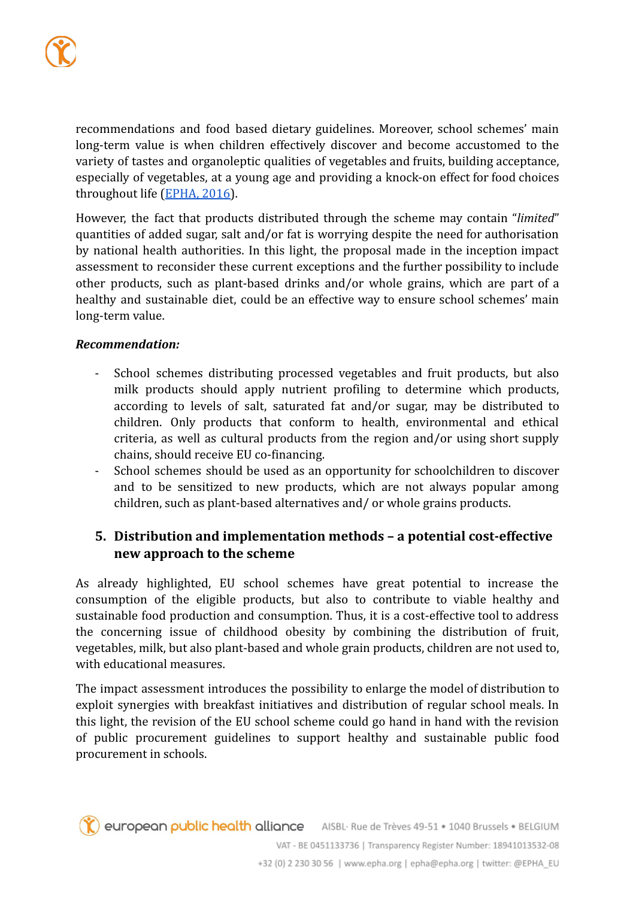recommendations and food based dietary guidelines. Moreover, school schemes' main long-term value is when children effectively discover and become accustomed to the variety of tastes and organoleptic qualities of vegetables and fruits, building acceptance, especially of vegetables, at a young age and providing a knock-on effect for food choices throughout life ([EPHA, 2016\)](https://epha.org/report-a-cap-for-healthy-living/).

However, the fact that products distributed through the scheme may contain "*limited*" quantities of added sugar, salt and/or fat is worrying despite the need for authorisation by national health authorities. In this light, the proposal made in the inception impact assessment to reconsider these current exceptions and the further possibility to include other products, such as plant-based drinks and/or whole grains, which are part of a healthy and sustainable diet, could be an effective way to ensure school schemes' main long-term value.

#### *Recommendation:*

- School schemes distributing processed vegetables and fruit products, but also milk products should apply nutrient profiling to determine which products, according to levels of salt, saturated fat and/or sugar, may be distributed to children. Only products that conform to health, environmental and ethical criteria, as well as cultural products from the region and/or using short supply chains, should receive EU co-financing.
- School schemes should be used as an opportunity for schoolchildren to discover and to be sensitized to new products, which are not always popular among children, such as plant-based alternatives and/ or whole grains products.

# **5. Distribution and implementation methods – a potential cost-effective new approach to the scheme**

As already highlighted, EU school schemes have great potential to increase the consumption of the eligible products, but also to contribute to viable healthy and sustainable food production and consumption. Thus, it is a cost-effective tool to address the concerning issue of childhood obesity by combining the distribution of fruit, vegetables, milk, but also plant-based and whole grain products, children are not used to, with educational measures.

The impact assessment introduces the possibility to enlarge the model of distribution to exploit synergies with breakfast initiatives and distribution of regular school meals. In this light, the revision of the EU school scheme could go hand in hand with the revision of public procurement guidelines to support healthy and sustainable public food procurement in schools.